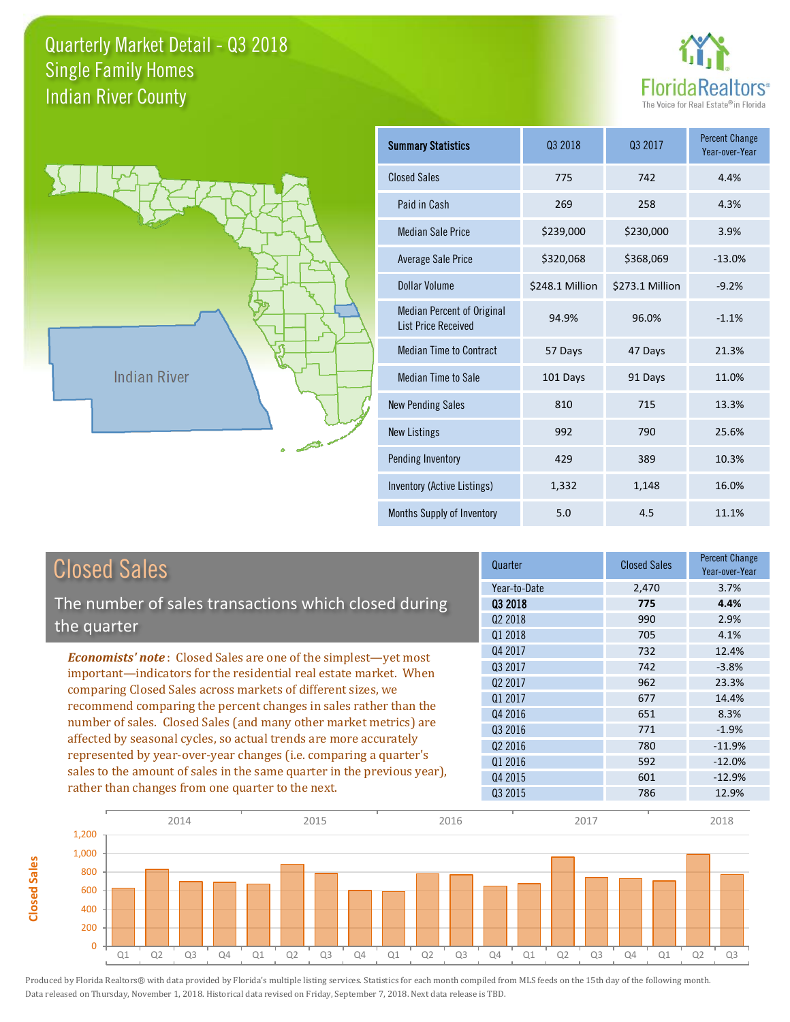



**Closed Sales**

**Closed Sales** 

| <b>Summary Statistics</b>                                       | 03 2018         | 03 2017         | <b>Percent Change</b><br>Year-over-Year |
|-----------------------------------------------------------------|-----------------|-----------------|-----------------------------------------|
| <b>Closed Sales</b>                                             | 775             | 742             | 4.4%                                    |
| Paid in Cash                                                    | 269             | 258             | 4.3%                                    |
| <b>Median Sale Price</b>                                        | \$239,000       | \$230,000       | 3.9%                                    |
| Average Sale Price                                              | \$320,068       | \$368,069       | $-13.0%$                                |
| Dollar Volume                                                   | \$248.1 Million | \$273.1 Million | $-9.2%$                                 |
| <b>Median Percent of Original</b><br><b>List Price Received</b> | 94.9%           | 96.0%           | $-1.1%$                                 |
| <b>Median Time to Contract</b>                                  | 57 Days         | 47 Days         | 21.3%                                   |
| Median Time to Sale                                             | 101 Days        | 91 Days         | 11.0%                                   |
| <b>New Pending Sales</b>                                        | 810             | 715             | 13.3%                                   |
| <b>New Listings</b>                                             | 992             | 790             | 25.6%                                   |
| Pending Inventory                                               | 429             | 389             | 10.3%                                   |
| Inventory (Active Listings)                                     | 1,332           | 1,148           | 16.0%                                   |
| Months Supply of Inventory                                      | 5.0             | 4.5             | 11.1%                                   |

| <b>Closed Sales</b>                                                     | Quarter             | <b>Closed Sales</b> | <b>Percent Change</b><br>Year-over-Year |
|-------------------------------------------------------------------------|---------------------|---------------------|-----------------------------------------|
|                                                                         | Year-to-Date        | 2,470               | 3.7%                                    |
| The number of sales transactions which closed during                    | 03 2018             | 775                 | 4.4%                                    |
| the quarter                                                             | Q <sub>2</sub> 2018 | 990                 | 2.9%                                    |
|                                                                         | Q1 2018             | 705                 | 4.1%                                    |
| <b>Economists' note:</b> Closed Sales are one of the simplest—yet most  | Q4 2017             | 732                 | 12.4%                                   |
| important—indicators for the residential real estate market. When       | Q3 2017             | 742                 | $-3.8%$                                 |
| comparing Closed Sales across markets of different sizes, we            | 02 2017             | 962                 | 23.3%                                   |
| recommend comparing the percent changes in sales rather than the        | Q1 2017             | 677                 | 14.4%                                   |
|                                                                         | Q4 2016             | 651                 | 8.3%                                    |
| number of sales. Closed Sales (and many other market metrics) are       | Q3 2016             | 771                 | $-1.9%$                                 |
| affected by seasonal cycles, so actual trends are more accurately       | 02 2016             | 780                 | $-11.9%$                                |
| represented by year-over-year changes (i.e. comparing a quarter's       | 01 2016             | 592                 | $-12.0%$                                |
| sales to the amount of sales in the same quarter in the previous year), | Q4 2015             | 601                 | $-12.9%$                                |
| rather than changes from one quarter to the next.                       | Q3 2015             | 786                 | 12.9%                                   |

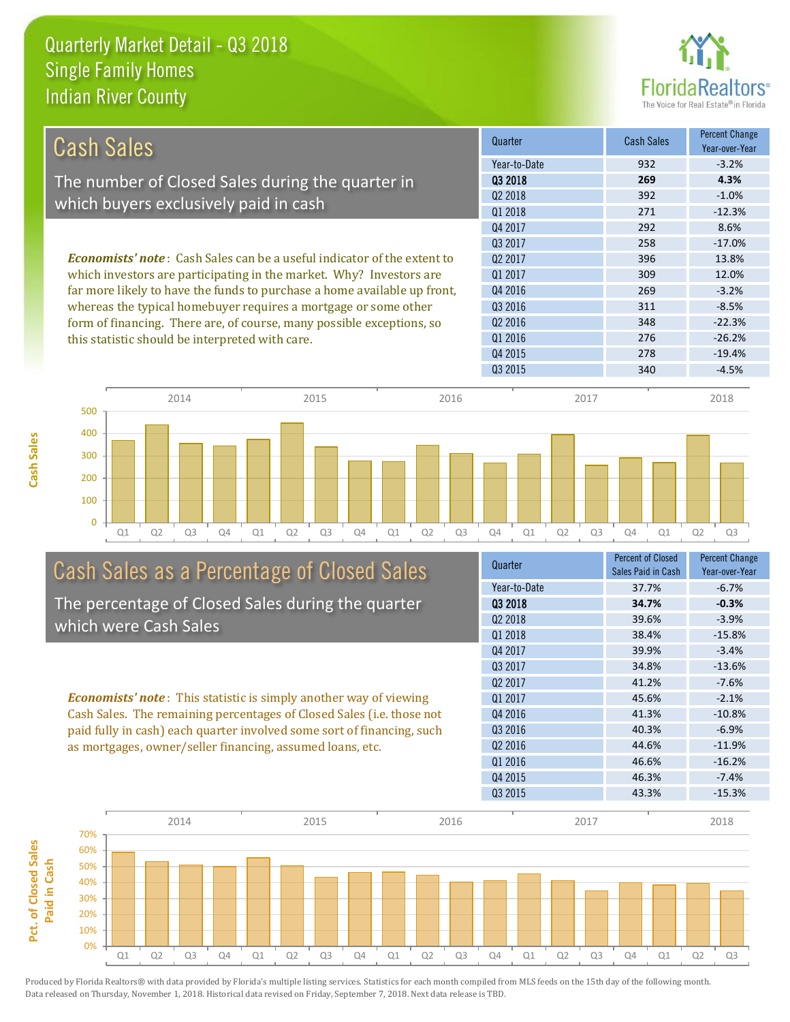

| <b>Cash Sales</b>                                                              | Quarter             | Cash Sales | <b>Percent Change</b><br>Year-over-Year |
|--------------------------------------------------------------------------------|---------------------|------------|-----------------------------------------|
|                                                                                | Year-to-Date        | 932        | $-3.2%$                                 |
| The number of Closed Sales during the quarter in                               | 03 2018             | 269        | 4.3%                                    |
|                                                                                | 02 2018             | 392        | $-1.0%$                                 |
| which buyers exclusively paid in cash                                          | Q1 2018             | 271        | $-12.3%$                                |
|                                                                                | Q4 2017             | 292        | 8.6%                                    |
|                                                                                | 03 2017             | 258        | $-17.0%$                                |
| <b>Economists' note:</b> Cash Sales can be a useful indicator of the extent to | Q <sub>2</sub> 2017 | 396        | 13.8%                                   |
| which investors are participating in the market. Why? Investors are            | Q1 2017             | 309        | 12.0%                                   |
| far more likely to have the funds to purchase a home available up front,       | Q4 2016             | 269        | $-3.2%$                                 |
| whereas the typical homebuyer requires a mortgage or some other                | Q3 2016             | 311        | $-8.5%$                                 |
| form of financing. There are, of course, many possible exceptions, so          | Q <sub>2</sub> 2016 | 348        | $-22.3%$                                |
| this statistic should be interpreted with care.                                | 01 2016             | 276        | $-26.2%$                                |
|                                                                                | Q4 2015             | 278        | $-19.4%$                                |
|                                                                                | Q3 2015             | 340        | $-4.5%$                                 |



# Cash Sales as a Percentage of Closed Sales

The percentage of Closed Sales during the quarter which were Cash Sales

*Economists' note* : This statistic is simply another way of viewing Cash Sales. The remaining percentages of Closed Sales (i.e. those not paid fully in cash) each quarter involved some sort of financing, such as mortgages, owner/seller financing, assumed loans, etc.



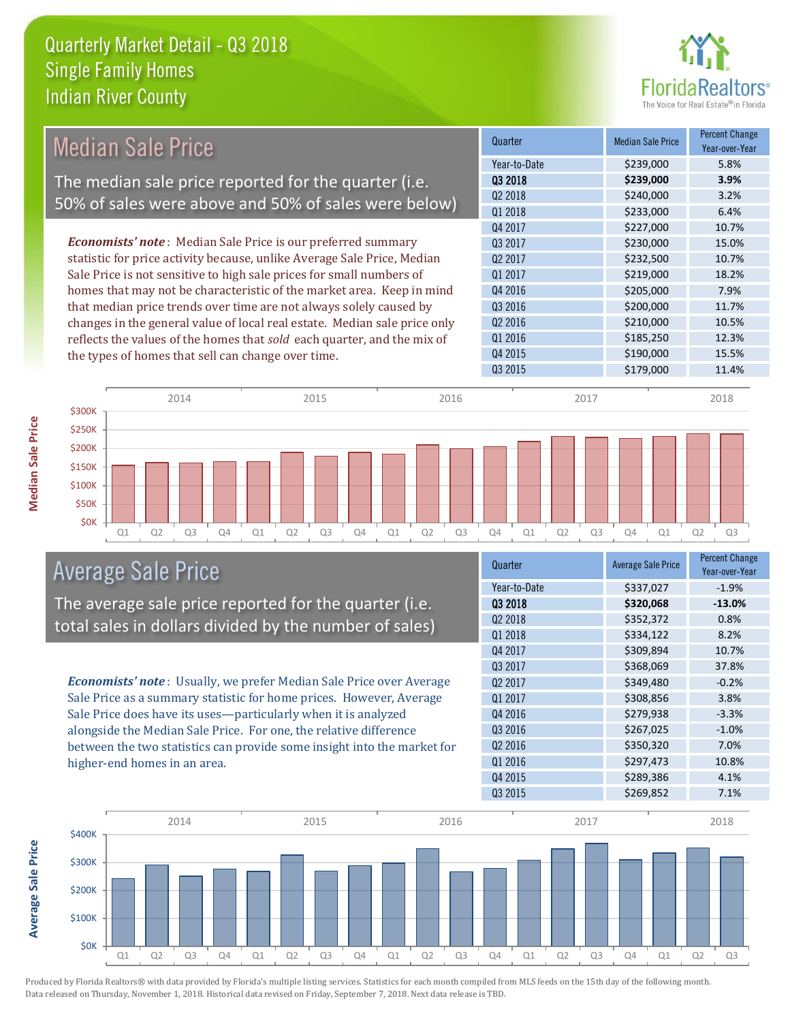

| <b>Median Sale Price</b>                                                  | Quarter             | <b>Median Sale Price</b> | <b>Percent Change</b><br>Year-over-Year |
|---------------------------------------------------------------------------|---------------------|--------------------------|-----------------------------------------|
|                                                                           | Year-to-Date        | \$239,000                | 5.8%                                    |
| The median sale price reported for the quarter (i.e.                      | Q3 2018             | \$239,000                | 3.9%                                    |
| 50% of sales were above and 50% of sales were below)                      | Q <sub>2</sub> 2018 | \$240,000                | 3.2%                                    |
|                                                                           | Q1 2018             | \$233,000                | 6.4%                                    |
|                                                                           | Q4 2017             | \$227,000                | 10.7%                                   |
| <b>Economists' note:</b> Median Sale Price is our preferred summary       | 03 2017             | \$230,000                | 15.0%                                   |
| statistic for price activity because, unlike Average Sale Price, Median   | Q <sub>2</sub> 2017 | \$232,500                | 10.7%                                   |
| Sale Price is not sensitive to high sale prices for small numbers of      | Q1 2017             | \$219,000                | 18.2%                                   |
| homes that may not be characteristic of the market area. Keep in mind     | Q4 2016             | \$205,000                | 7.9%                                    |
| that median price trends over time are not always solely caused by        | Q3 2016             | \$200,000                | 11.7%                                   |
| changes in the general value of local real estate. Median sale price only | Q2 2016             | \$210,000                | 10.5%                                   |
| reflects the values of the homes that sold each quarter, and the mix of   | Q1 2016             | \$185,250                | 12.3%                                   |
| the types of homes that sell can change over time.                        | Q4 2015             | \$190,000                | 15.5%                                   |
|                                                                           | Q3 2015             | \$179,000                | 11.4%                                   |
|                                                                           |                     |                          |                                         |



### Average Sale Price

The average sale price reported for the quarter (i.e. total sales in dollars divided by the number of sales)

*Economists' note* : Usually, we prefer Median Sale Price over Average Sale Price as a summary statistic for home prices. However, Average Sale Price does have its uses—particularly when it is analyzed alongside the Median Sale Price. For one, the relative difference between the two statistics can provide some insight into the market for higher-end homes in an area.

| Quarter             | <b>Average Sale Price</b> | <b>Percent Change</b><br>Year-over-Year |
|---------------------|---------------------------|-----------------------------------------|
| Year-to-Date        | \$337,027                 | $-1.9%$                                 |
| 03 2018             | \$320,068                 | $-13.0%$                                |
| Q <sub>2</sub> 2018 | \$352,372                 | 0.8%                                    |
| Q1 2018             | \$334,122                 | 8.2%                                    |
| Q4 2017             | \$309,894                 | 10.7%                                   |
| 03 2017             | \$368,069                 | 37.8%                                   |
| Q <sub>2</sub> 2017 | \$349,480                 | $-0.2%$                                 |
| Q1 2017             | \$308,856                 | 3.8%                                    |
| Q4 2016             | \$279,938                 | $-3.3%$                                 |
| Q3 2016             | \$267,025                 | $-1.0%$                                 |
| Q <sub>2</sub> 2016 | \$350,320                 | 7.0%                                    |
| Q1 2016             | \$297,473                 | 10.8%                                   |
| Q4 2015             | \$289,386                 | 4.1%                                    |
| Q3 2015             | \$269,852                 | 7.1%                                    |

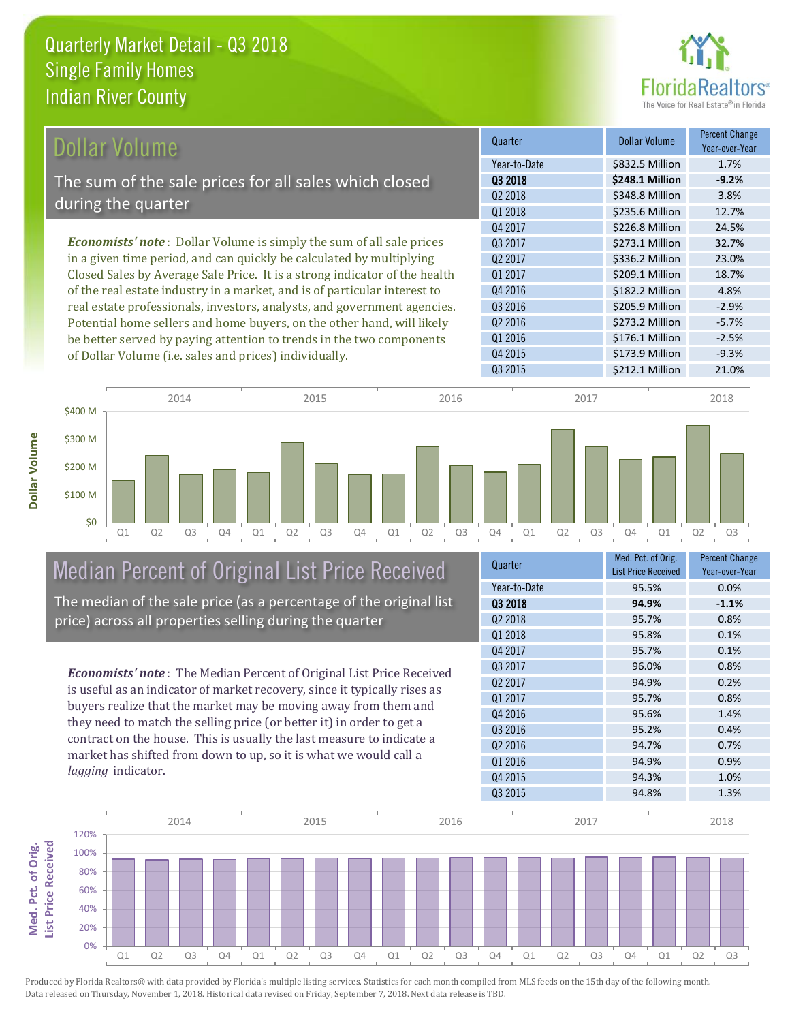

| Dollar Volume                                                                | Quarter             | <b>Dollar Volume</b> | <b>Percent Change</b><br>Year-over-Year |
|------------------------------------------------------------------------------|---------------------|----------------------|-----------------------------------------|
|                                                                              | Year-to-Date        | \$832.5 Million      | 1.7%                                    |
| The sum of the sale prices for all sales which closed                        | 03 2018             | \$248.1 Million      | $-9.2%$                                 |
|                                                                              | Q <sub>2</sub> 2018 | \$348.8 Million      | 3.8%                                    |
| during the quarter                                                           | Q1 2018             | \$235.6 Million      | 12.7%                                   |
|                                                                              | Q4 2017             | \$226.8 Million      | 24.5%                                   |
| <b>Economists' note</b> : Dollar Volume is simply the sum of all sale prices | 03 2017             | \$273.1 Million      | 32.7%                                   |
| in a given time period, and can quickly be calculated by multiplying         | 02 2017             | \$336.2 Million      | 23.0%                                   |
| Closed Sales by Average Sale Price. It is a strong indicator of the health   | Q1 2017             | \$209.1 Million      | 18.7%                                   |
| of the real estate industry in a market, and is of particular interest to    | Q4 2016             | \$182.2 Million      | 4.8%                                    |
| real estate professionals, investors, analysts, and government agencies.     | Q3 2016             | \$205.9 Million      | $-2.9%$                                 |
| Potential home sellers and home buyers, on the other hand, will likely       | Q <sub>2</sub> 2016 | \$273.2 Million      | $-5.7%$                                 |
| be better served by paying attention to trends in the two components         | Q1 2016             | \$176.1 Million      | $-2.5%$                                 |

Q1 Q2 Q3 Q4 Q1 Q2 Q3 Q4 Q1 Q2 Q3 Q4 Q1 Q2 Q3 Q4 Q1 Q2 Q3 \$0 \$100 M \$200 M \$300 M \$400 M 2014 2015 2016 2016 2017 2018

## Median Percent of Original List Price Received The median of the sale price (as a percentage of the original list

price) across all properties selling during the quarter

of Dollar Volume (i.e. sales and prices) individually.

*Economists' note* : The Median Percent of Original List Price Received is useful as an indicator of market recovery, since it typically rises as buyers realize that the market may be moving away from them and they need to match the selling price (or better it) in order to get a contract on the house. This is usually the last measure to indicate a market has shifted from down to up, so it is what we would call a *lagging* indicator.

| Quarter             | Med. Pct. of Orig.<br><b>List Price Received</b> | <b>Percent Change</b><br>Year-over-Year |
|---------------------|--------------------------------------------------|-----------------------------------------|
| Year-to-Date        | 95.5%                                            | 0.0%                                    |
| 03 2018             | 94.9%                                            | $-1.1%$                                 |
| Q <sub>2</sub> 2018 | 95.7%                                            | 0.8%                                    |
| Q1 2018             | 95.8%                                            | 0.1%                                    |
| Q4 2017             | 95.7%                                            | 0.1%                                    |
| 03 2017             | 96.0%                                            | 0.8%                                    |
| Q <sub>2</sub> 2017 | 94.9%                                            | 0.2%                                    |
| 01 2017             | 95.7%                                            | 0.8%                                    |
| Q4 2016             | 95.6%                                            | 1.4%                                    |
| Q3 2016             | 95.2%                                            | 0.4%                                    |
| Q <sub>2</sub> 2016 | 94.7%                                            | 0.7%                                    |
| 01 2016             | 94.9%                                            | 0.9%                                    |
| Q4 2015             | 94.3%                                            | 1.0%                                    |
| Q3 2015             | 94.8%                                            | 1.3%                                    |

Q3 2015 \$212.1 Million 21.0%

Q4 2015 **\$173.9 Million** -9.3%

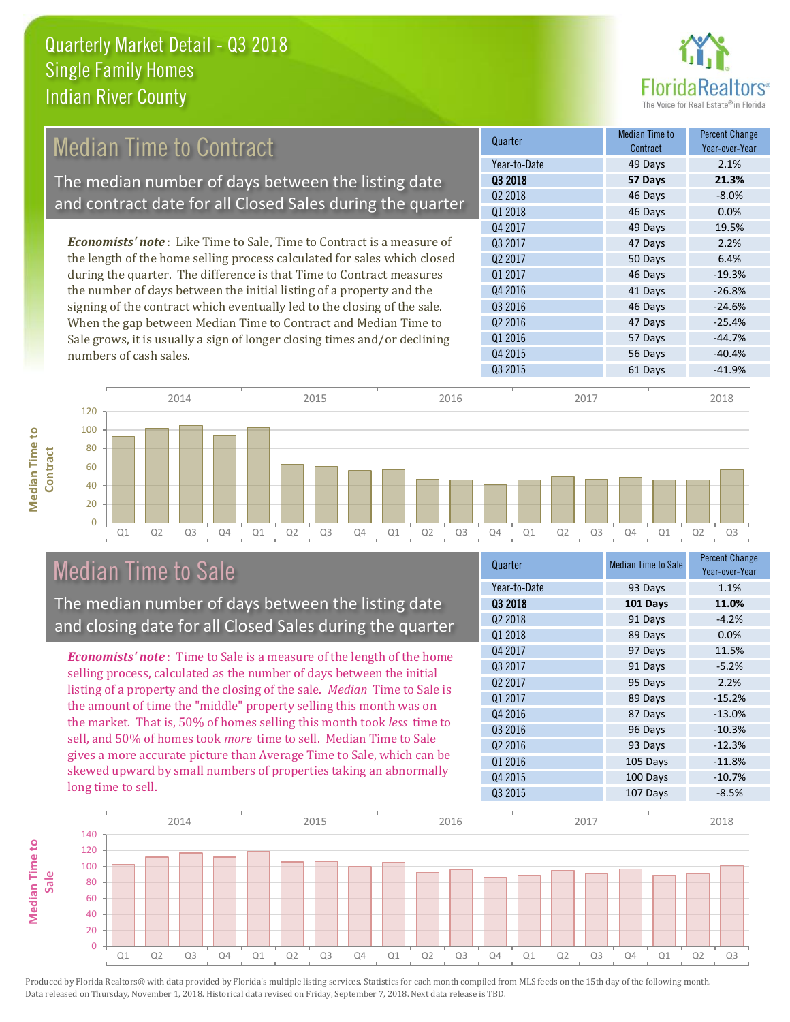

## Median Time to Contract

The median number of days between the listing date and contract date for all Closed Sales during the quarter

*Economists' note* : Like Time to Sale, Time to Contract is a measure of the length of the home selling process calculated for sales which closed during the quarter. The difference is that Time to Contract measures the number of days between the initial listing of a property and the signing of the contract which eventually led to the closing of the sale. When the gap between Median Time to Contract and Median Time to Sale grows, it is usually a sign of longer closing times and/or declining numbers of cash sales.

| Quarter             | <b>Median Time to</b><br>Contract | <b>Percent Change</b><br>Year-over-Year |
|---------------------|-----------------------------------|-----------------------------------------|
| Year-to-Date        | 49 Days                           | 2.1%                                    |
| 03 2018             | 57 Days                           | 21.3%                                   |
| Q <sub>2</sub> 2018 | 46 Days                           | $-8.0%$                                 |
| Q1 2018             | 46 Days                           | 0.0%                                    |
| Q4 2017             | 49 Days                           | 19.5%                                   |
| 03 2017             | 47 Days                           | 2.2%                                    |
| Q <sub>2</sub> 2017 | 50 Days                           | 6.4%                                    |
| Q1 2017             | 46 Days                           | $-19.3%$                                |
| Q4 2016             | 41 Days                           | $-26.8%$                                |
| Q3 2016             | 46 Days                           | $-24.6%$                                |
| Q <sub>2</sub> 2016 | 47 Days                           | $-25.4%$                                |
| Q1 2016             | 57 Days                           | $-44.7%$                                |
| Q4 2015             | 56 Days                           | $-40.4%$                                |
| Q3 2015             | 61 Days                           | $-41.9%$                                |



### Median Time to Sale

**Median Time to Contract**

**Median Time to** 

The median number of days between the listing date and closing date for all Closed Sales during the quarter

*Economists' note* : Time to Sale is a measure of the length of the home selling process, calculated as the number of days between the initial listing of a property and the closing of the sale. *Median* Time to Sale is the amount of time the "middle" property selling this month was on the market. That is, 50% of homes selling this month took *less* time to sell, and 50% of homes took *more* time to sell. Median Time to Sale gives a more accurate picture than Average Time to Sale, which can be skewed upward by small numbers of properties taking an abnormally long time to sell.

| Quarter             | <b>Median Time to Sale</b> | <b>Percent Change</b><br>Year-over-Year |
|---------------------|----------------------------|-----------------------------------------|
| Year-to-Date        | 93 Days                    | 1.1%                                    |
| 03 2018             | 101 Days                   | 11.0%                                   |
| 02 2018             | 91 Days                    | $-4.2%$                                 |
| Q1 2018             | 89 Days                    | 0.0%                                    |
| Q4 2017             | 97 Days                    | 11.5%                                   |
| 03 2017             | 91 Days                    | $-5.2%$                                 |
| 02 2017             | 95 Days                    | 2.2%                                    |
| Q1 2017             | 89 Days                    | $-15.2%$                                |
| Q4 2016             | 87 Days                    | $-13.0%$                                |
| Q3 2016             | 96 Days                    | $-10.3%$                                |
| Q <sub>2</sub> 2016 | 93 Days                    | $-12.3%$                                |
| Q1 2016             | 105 Days                   | $-11.8%$                                |
| Q4 2015             | 100 Days                   | $-10.7%$                                |
| Q3 2015             | 107 Days                   | $-8.5%$                                 |

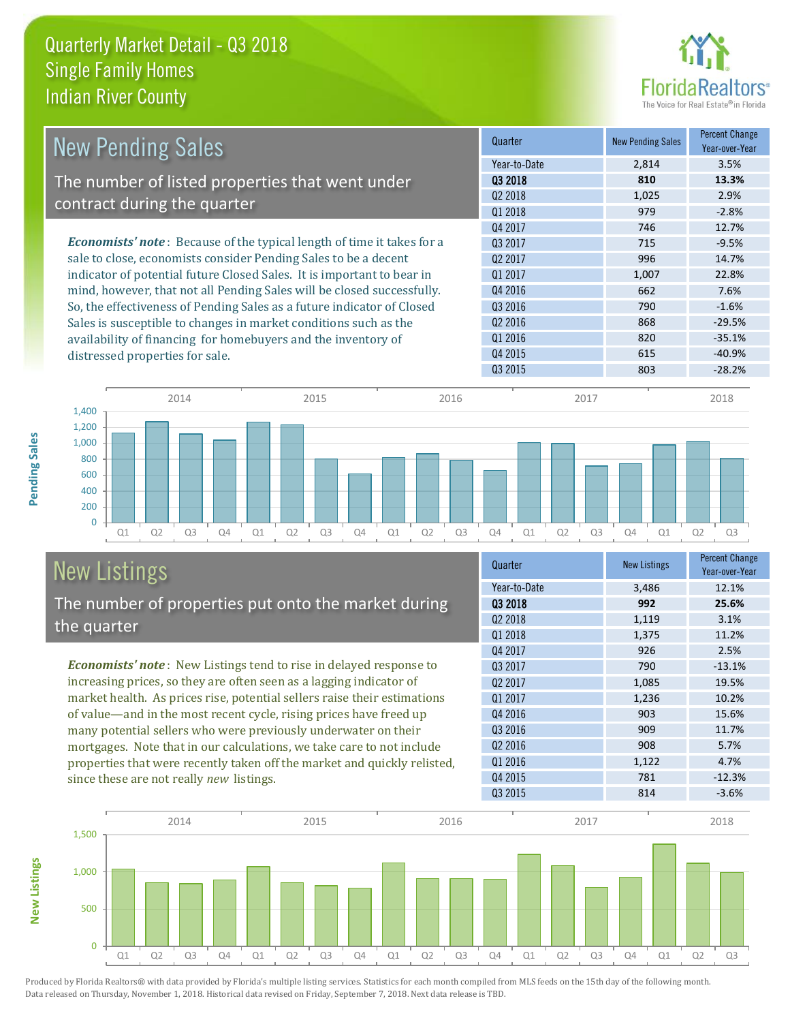

| <b>New Pending Sales</b>                                                      | Quarter             | <b>New Pending Sales</b> | <b>Percent Change</b><br>Year-over-Year |
|-------------------------------------------------------------------------------|---------------------|--------------------------|-----------------------------------------|
|                                                                               | Year-to-Date        | 2,814                    | 3.5%                                    |
| The number of listed properties that went under                               | 03 2018             | 810                      | 13.3%                                   |
| contract during the quarter                                                   | 02 2018             | 1,025                    | 2.9%                                    |
|                                                                               | Q1 2018             | 979                      | $-2.8%$                                 |
|                                                                               | Q4 2017             | 746                      | 12.7%                                   |
| <b>Economists' note:</b> Because of the typical length of time it takes for a | Q3 2017             | 715                      | $-9.5%$                                 |
| sale to close, economists consider Pending Sales to be a decent               | Q <sub>2</sub> 2017 | 996                      | 14.7%                                   |
| indicator of potential future Closed Sales. It is important to bear in        | 01 2017             | 1,007                    | 22.8%                                   |
| mind, however, that not all Pending Sales will be closed successfully.        | Q4 2016             | 662                      | 7.6%                                    |
| So, the effectiveness of Pending Sales as a future indicator of Closed        | Q3 2016             | 790                      | $-1.6%$                                 |
| Sales is susceptible to changes in market conditions such as the              | Q <sub>2</sub> 2016 | 868                      | $-29.5%$                                |
| availability of financing for homebuyers and the inventory of                 | Q1 2016             | 820                      | $-35.1%$                                |
| distressed properties for sale.                                               | Q4 2015             | 615                      | $-40.9%$                                |
|                                                                               | Q3 2015             | 803                      | $-28.2%$                                |



#### New Listings The number of properties put onto the market during the quarter

*Economists' note* : New Listings tend to rise in delayed response to increasing prices, so they are often seen as a lagging indicator of market health. As prices rise, potential sellers raise their estimations of value—and in the most recent cycle, rising prices have freed up many potential sellers who were previously underwater on their mortgages. Note that in our calculations, we take care to not include properties that were recently taken off the market and quickly relisted, since these are not really *new* listings.

**New Listings**

**Pending Sales**

Pending Sales

| Quarter             | <b>New Listings</b> | <b>Percent Change</b><br>Year-over-Year |
|---------------------|---------------------|-----------------------------------------|
| Year-to-Date        | 3,486               | 12.1%                                   |
| 03 2018             | 992                 | 25.6%                                   |
| 02 2018             | 1,119               | 3.1%                                    |
| Q1 2018             | 1,375               | 11.2%                                   |
| Q4 2017             | 926                 | 2.5%                                    |
| Q3 2017             | 790                 | $-13.1%$                                |
| Q <sub>2</sub> 2017 | 1,085               | 19.5%                                   |
| Q1 2017             | 1,236               | 10.2%                                   |
| Q4 2016             | 903                 | 15.6%                                   |
| Q <sub>3</sub> 2016 | 909                 | 11.7%                                   |
| Q <sub>2</sub> 2016 | 908                 | 5.7%                                    |
| Q1 2016             | 1,122               | 4.7%                                    |
| Q4 2015             | 781                 | $-12.3%$                                |
| Q3 2015             | 814                 | $-3.6%$                                 |

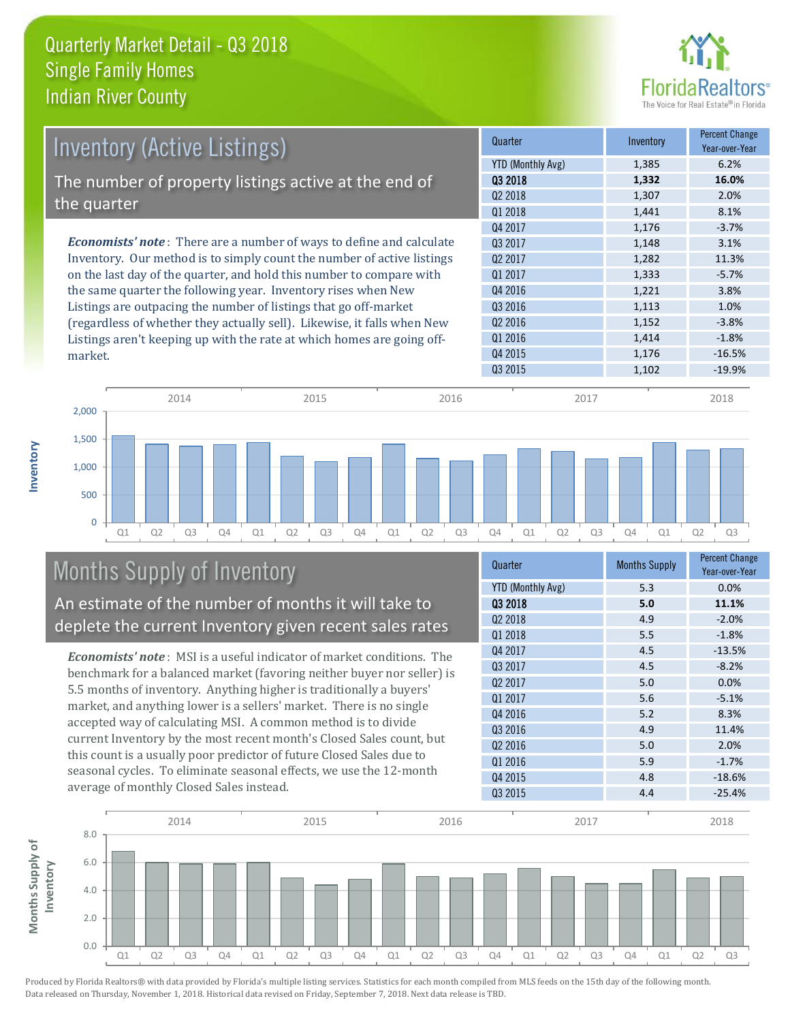

| <b>Inventory (Active Listings)</b>                                           | Quarter             | Inventory | <b>Percent Change</b><br>Year-over-Year |
|------------------------------------------------------------------------------|---------------------|-----------|-----------------------------------------|
|                                                                              | YTD (Monthly Avg)   | 1,385     | 6.2%                                    |
| The number of property listings active at the end of                         | 03 2018             | 1,332     | 16.0%                                   |
|                                                                              | Q <sub>2</sub> 2018 | 1,307     | 2.0%                                    |
| the quarter                                                                  | Q1 2018             | 1,441     | 8.1%                                    |
|                                                                              | Q4 2017             | 1,176     | $-3.7%$                                 |
| <b>Economists' note</b> : There are a number of ways to define and calculate | 03 2017             | 1,148     | 3.1%                                    |
| Inventory. Our method is to simply count the number of active listings       | Q <sub>2</sub> 2017 | 1,282     | 11.3%                                   |
| on the last day of the quarter, and hold this number to compare with         | Q1 2017             | 1,333     | $-5.7%$                                 |
| the same quarter the following year. Inventory rises when New                | Q4 2016             | 1,221     | 3.8%                                    |
| Listings are outpacing the number of listings that go off-market             | Q3 2016             | 1,113     | 1.0%                                    |
| (regardless of whether they actually sell). Likewise, it falls when New      | Q <sub>2</sub> 2016 | 1,152     | $-3.8%$                                 |
| Listings aren't keeping up with the rate at which homes are going off-       | Q1 2016             | 1,414     | $-1.8%$                                 |
| market.                                                                      | Q4 2015             | 1,176     | $-16.5%$                                |



# Months Supply of Inventory

**Inventory**

An estimate of the number of months it will take to deplete the current Inventory given recent sales rates

*Economists' note* : MSI is a useful indicator of market conditions. The benchmark for a balanced market (favoring neither buyer nor seller) is 5.5 months of inventory. Anything higher is traditionally a buyers' market, and anything lower is a sellers' market. There is no single accepted way of calculating MSI. A common method is to divide current Inventory by the most recent month's Closed Sales count, but this count is a usually poor predictor of future Closed Sales due to seasonal cycles. To eliminate seasonal effects, we use the 12-month average of monthly Closed Sales instead.

| Quarter                  | <b>Months Supply</b> | <b>Percent Change</b><br>Year-over-Year |
|--------------------------|----------------------|-----------------------------------------|
| <b>YTD (Monthly Avg)</b> | 5.3                  | 0.0%                                    |
| 03 2018                  | 5.0                  | 11.1%                                   |
| Q <sub>2</sub> 2018      | 4.9                  | $-2.0%$                                 |
| Q1 2018                  | 5.5                  | $-1.8%$                                 |
| Q4 2017                  | 4.5                  | $-13.5%$                                |
| Q3 2017                  | 4.5                  | $-8.2%$                                 |
| Q <sub>2</sub> 2017      | 5.0                  | 0.0%                                    |
| Q1 2017                  | 5.6                  | $-5.1%$                                 |
| Q4 2016                  | 5.2                  | 8.3%                                    |
| Q3 2016                  | 4.9                  | 11.4%                                   |
| Q <sub>2</sub> 2016      | 5.0                  | 2.0%                                    |
| Q1 2016                  | 5.9                  | $-1.7%$                                 |
| Q4 2015                  | 4.8                  | $-18.6%$                                |
| Q3 2015                  | 4.4                  | $-25.4%$                                |

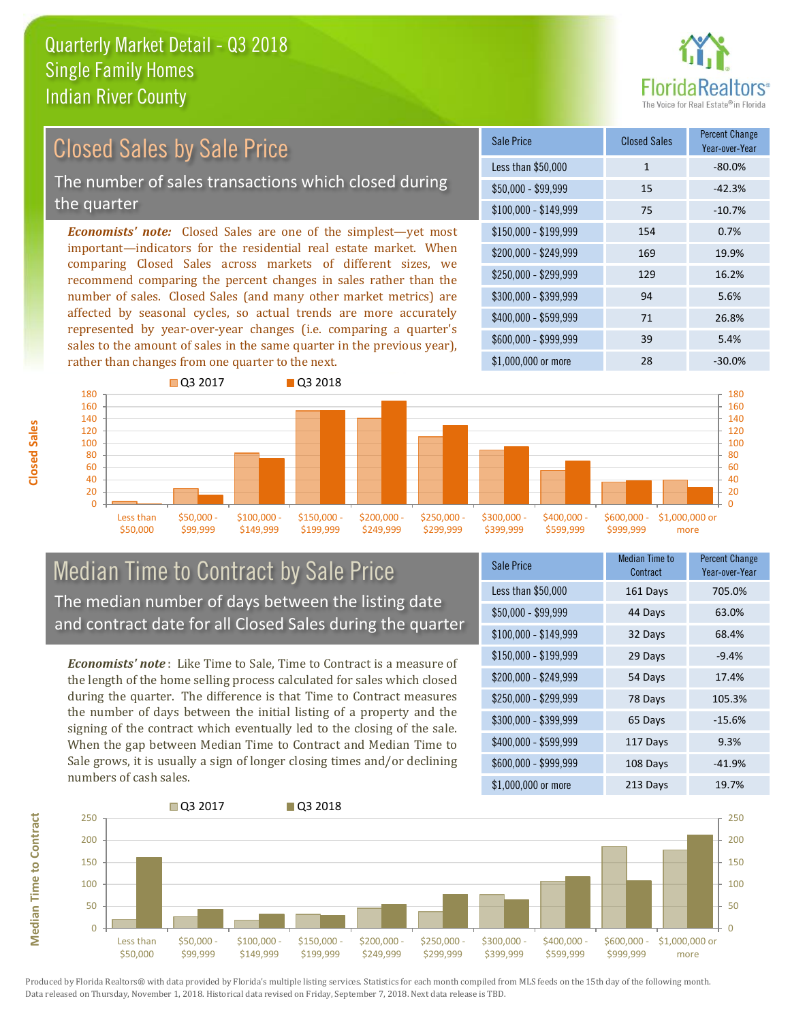

#### *Economists' note:* Closed Sales are one of the simplest—yet most important—indicators for the residential real estate market. When comparing Closed Sales across markets of different sizes, we recommend comparing the percent changes in sales rather than the number of sales. Closed Sales (and many other market metrics) are affected by seasonal cycles, so actual trends are more accurately represented by year-over-year changes (i.e. comparing a quarter's sales to the amount of sales in the same quarter in the previous year), \$250,000 - \$299,999 129 16.2% \$300,000 - \$399,999 94 5.6% \$400,000 - \$599,999 71 26.8% \$600,000 - \$999,999 39 5.4% \$150,000 - \$199,999 154 0.7% \$200,000 - \$249,999 169 19.9% \$100,000 - \$149,999 75 -10.7% Sale Price Closed Sales Percent Change Year-over-Year Less than \$50,000 1 1 -80.0% \$50,000 - \$99,999 15 -42.3% Closed Sales by Sale Price The number of sales transactions which closed during the quarter



#### Median Time to Contract by Sale Price The median number of days between the listing date and contract date for all Closed Sales during the quarter

*Economists' note* : Like Time to Sale, Time to Contract is a measure of the length of the home selling process calculated for sales which closed during the quarter. The difference is that Time to Contract measures the number of days between the initial listing of a property and the signing of the contract which eventually led to the closing of the sale. When the gap between Median Time to Contract and Median Time to Sale grows, it is usually a sign of longer closing times and/or declining numbers of cash sales.

| Sale Price            | <b>Median Time to</b><br>Contract | <b>Percent Change</b><br>Year-over-Year |
|-----------------------|-----------------------------------|-----------------------------------------|
| Less than \$50,000    | 161 Days                          | 705.0%                                  |
| $$50,000 - $99,999$   | 44 Days                           | 63.0%                                   |
| $$100,000 - $149,999$ | 32 Days                           | 68.4%                                   |
| $$150,000 - $199,999$ | 29 Days                           | $-9.4%$                                 |
| \$200,000 - \$249,999 | 54 Days                           | 17.4%                                   |
| \$250,000 - \$299,999 | 78 Days                           | 105.3%                                  |
| \$300,000 - \$399,999 | 65 Days                           | $-15.6%$                                |
| \$400,000 - \$599,999 | 117 Days                          | 9.3%                                    |
| \$600,000 - \$999,999 | 108 Days                          | $-41.9%$                                |
| \$1,000,000 or more   | 213 Days                          | 19.7%                                   |

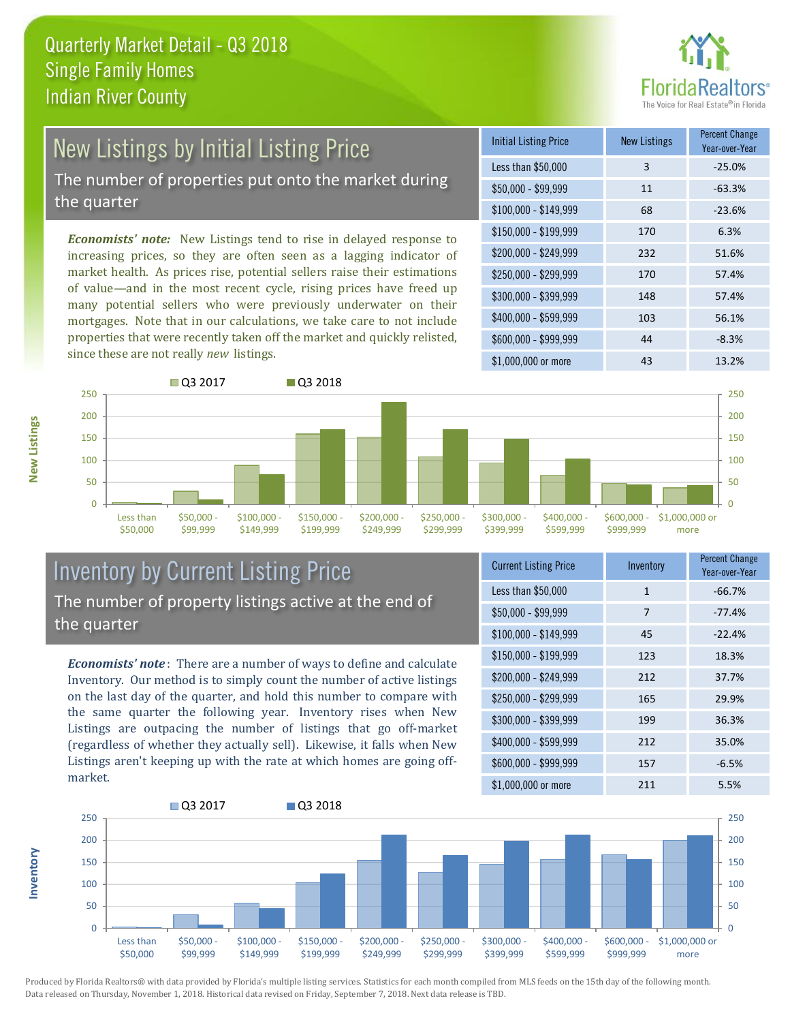

#### New Listings by Initial Listing Price The number of properties put onto the market during the quarter

*Economists' note:* New Listings tend to rise in delayed response to increasing prices, so they are often seen as a lagging indicator of market health. As prices rise, potential sellers raise their estimations of value—and in the most recent cycle, rising prices have freed up many potential sellers who were previously underwater on their mortgages. Note that in our calculations, we take care to not include properties that were recently taken off the market and quickly relisted, since these are not really *new* listings.

| <b>Initial Listing Price</b> | <b>New Listings</b> | <b>Percent Change</b><br>Year-over-Year |
|------------------------------|---------------------|-----------------------------------------|
| Less than \$50,000           | 3                   | $-25.0%$                                |
| $$50,000 - $99,999$          | 11                  | $-63.3%$                                |
| $$100,000 - $149,999$        | 68                  | $-23.6%$                                |
| $$150,000 - $199,999$        | 170                 | 6.3%                                    |
| \$200,000 - \$249,999        | 232                 | 51.6%                                   |
| \$250,000 - \$299,999        | 170                 | 57.4%                                   |
| \$300,000 - \$399,999        | 148                 | 57.4%                                   |
| \$400,000 - \$599,999        | 103                 | 56.1%                                   |
| \$600,000 - \$999,999        | 44                  | $-8.3%$                                 |
| \$1,000,000 or more          | 43                  | 13.2%                                   |



#### Inventory by Current Listing Price The number of property listings active at the end of the quarter

*Economists' note* : There are a number of ways to define and calculate Inventory. Our method is to simply count the number of active listings on the last day of the quarter, and hold this number to compare with the same quarter the following year. Inventory rises when New Listings are outpacing the number of listings that go off-market (regardless of whether they actually sell). Likewise, it falls when New Listings aren't keeping up with the rate at which homes are going offmarket.

| <b>Current Listing Price</b> | Inventory    | <b>Percent Change</b><br>Year-over-Year |
|------------------------------|--------------|-----------------------------------------|
| Less than \$50,000           | $\mathbf{1}$ | $-66.7%$                                |
| $$50,000 - $99,999$          | 7            | $-77.4%$                                |
| $$100,000 - $149,999$        | 45           | $-22.4%$                                |
| $$150,000 - $199,999$        | 123          | 18.3%                                   |
| \$200,000 - \$249,999        | 212          | 37.7%                                   |
| \$250,000 - \$299,999        | 165          | 29.9%                                   |
| \$300,000 - \$399,999        | 199          | 36.3%                                   |
| \$400,000 - \$599,999        | 212          | 35.0%                                   |
| \$600,000 - \$999,999        | 157          | $-6.5%$                                 |
| \$1,000,000 or more          | 211          | 5.5%                                    |

#### $\overline{0}$ 50 100 150 200 250 Less than \$50,000  $$50.000 \cdot$ \$99,999 \$100,000 - \$149,999 \$150,000 - \$199,999 \$200,000 - \$249,999 \$250,000 - \$299,999 \$300,000 - \$399,999 \$400,000 -\$599,999 \$600,000 - \$999,999 \$1,000,000 or more **Q3 2017** Q3 2018  $\Omega$ 50 100 150 200 250

Produced by Florida Realtors® with data provided by Florida's multiple listing services. Statistics for each month compiled from MLS feeds on the 15th day of the following month. Data released on Thursday, November 1, 2018. Historical data revised on Friday, September 7, 2018. Next data release is TBD.

**Inventory**